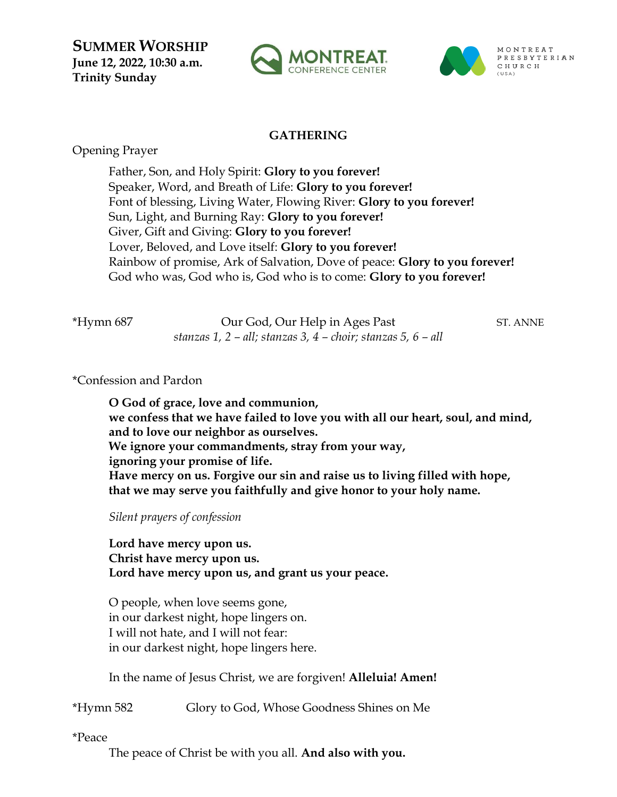**SUMMER WORSHIP June 12, 2022, 10:30 a.m. Trinity Sunday**





# **GATHERING**

Opening Prayer

Father, Son, and Holy Spirit: **Glory to you forever!** Speaker, Word, and Breath of Life: **Glory to you forever!** Font of blessing, Living Water, Flowing River: **Glory to you forever!** Sun, Light, and Burning Ray: **Glory to you forever!** Giver, Gift and Giving: **Glory to you forever!** Lover, Beloved, and Love itself: **Glory to you forever!** Rainbow of promise, Ark of Salvation, Dove of peace: **Glory to you forever!** God who was, God who is, God who is to come: **Glory to you forever!**

\*Hymn 687 Our God, Our Help in Ages Past ST. ANNE *stanzas 1, 2 – all; stanzas 3, 4 – choir; stanzas 5, 6 – all* 

\*Confession and Pardon

**O God of grace, love and communion, we confess that we have failed to love you with all our heart, soul, and mind, and to love our neighbor as ourselves. We ignore your commandments, stray from your way, ignoring your promise of life. Have mercy on us. Forgive our sin and raise us to living filled with hope, that we may serve you faithfully and give honor to your holy name.**

*Silent prayers of confession*

**Lord have mercy upon us. Christ have mercy upon us. Lord have mercy upon us, and grant us your peace.**

O people, when love seems gone, in our darkest night, hope lingers on. I will not hate, and I will not fear: in our darkest night, hope lingers here.

In the name of Jesus Christ, we are forgiven! **Alleluia! Amen!**

\*Hymn 582 Glory to God, Whose Goodness Shines on Me

\*Peace

The peace of Christ be with you all. **And also with you.**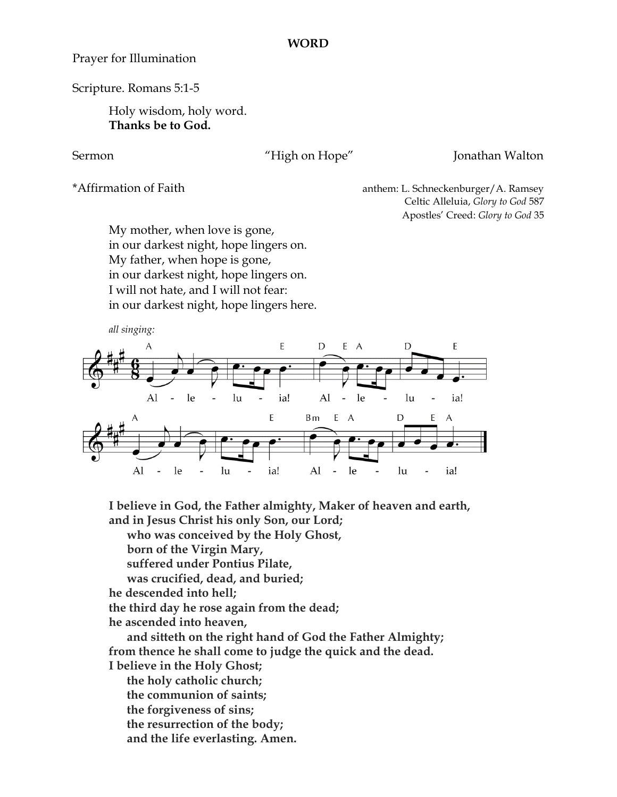### **WORD**

Prayer for Illumination

Scripture. Romans 5:1-5

Holy wisdom, holy word. **Thanks be to God.** 

### Sermon "High on Hope" Jonathan Walton

\*Affirmation of Faith anthem: L. Schneckenburger/A. Ramsey Celtic Alleluia, *Glory to God* 587 Apostles' Creed: *Glory to God* 35

My mother, when love is gone, in our darkest night, hope lingers on. My father, when hope is gone, in our darkest night, hope lingers on. I will not hate, and I will not fear: in our darkest night, hope lingers here.



**I believe in God, the Father almighty, Maker of heaven and earth, and in Jesus Christ his only Son, our Lord;**

 **who was conceived by the Holy Ghost,**

 **born of the Virgin Mary,**

 **suffered under Pontius Pilate,**

 **was crucified, dead, and buried;**

**he descended into hell;**

**the third day he rose again from the dead;**

**he ascended into heaven,**

 **and sitteth on the right hand of God the Father Almighty; from thence he shall come to judge the quick and the dead. I believe in the Holy Ghost;**

 **the holy catholic church; the communion of saints; the forgiveness of sins; the resurrection of the body;**

 **and the life everlasting. Amen.**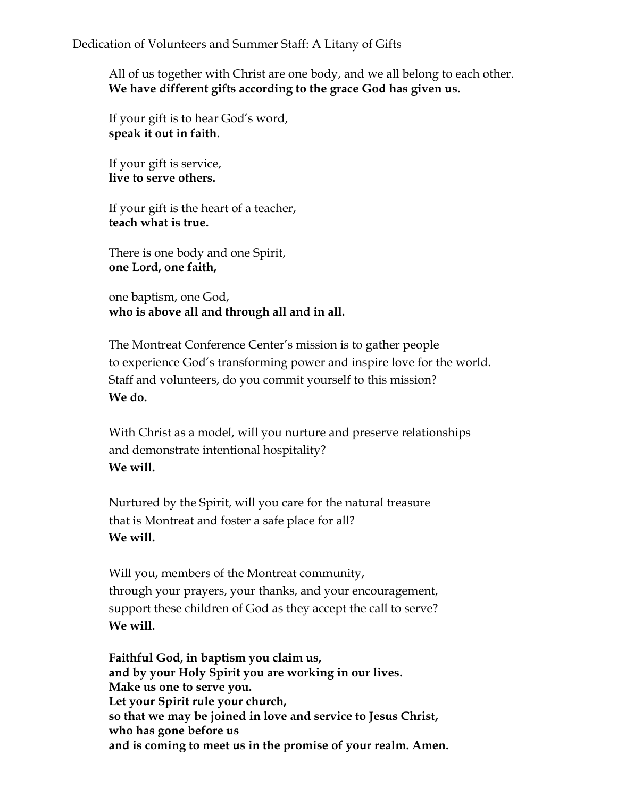All of us together with Christ are one body, and we all belong to each other. **We have different gifts according to the grace God has given us.**

If your gift is to hear God's word, **speak it out in faith**.

If your gift is service, **live to serve others.**

If your gift is the heart of a teacher, **teach what is true.**

There is one body and one Spirit, **one Lord, one faith,**

one baptism, one God, **who is above all and through all and in all.**

The Montreat Conference Center's mission is to gather people to experience God's transforming power and inspire love for the world. Staff and volunteers, do you commit yourself to this mission? **We do.**

With Christ as a model, will you nurture and preserve relationships and demonstrate intentional hospitality? **We will.**

Nurtured by the Spirit, will you care for the natural treasure that is Montreat and foster a safe place for all? **We will.**

Will you, members of the Montreat community, through your prayers, your thanks, and your encouragement, support these children of God as they accept the call to serve? **We will.**

**Faithful God, in baptism you claim us, and by your Holy Spirit you are working in our lives. Make us one to serve you. Let your Spirit rule your church, so that we may be joined in love and service to Jesus Christ, who has gone before us and is coming to meet us in the promise of your realm. Amen.**